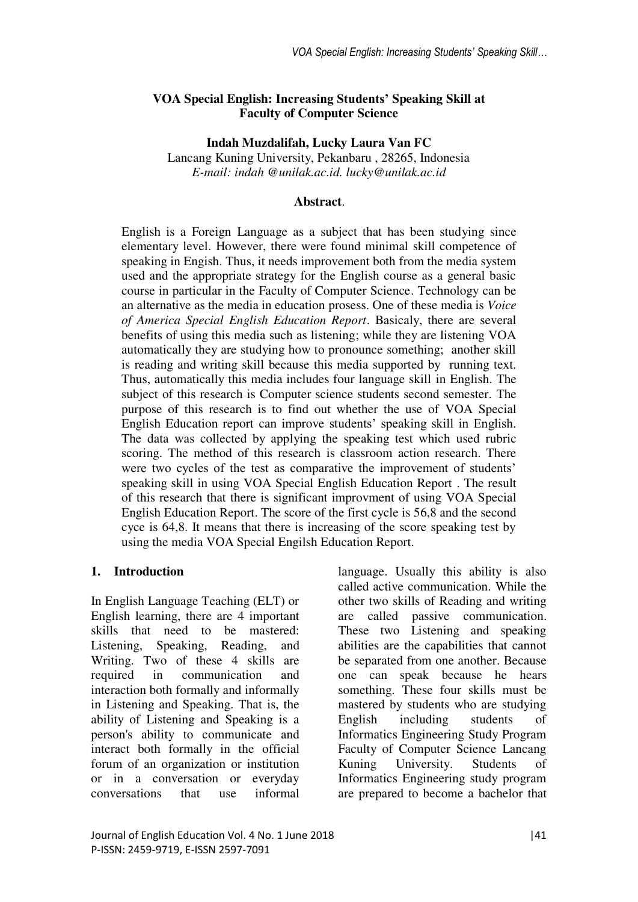### **VOA Special English: Increasing Students' Speaking Skill at Faculty of Computer Science**

**Indah Muzdalifah, Lucky Laura Van FC**  Lancang Kuning University, Pekanbaru , 28265, Indonesia *E-mail: indah @unilak.ac.id. lucky@unilak.ac.id* 

### **Abstract**.

English is a Foreign Language as a subject that has been studying since elementary level. However, there were found minimal skill competence of speaking in Engish. Thus, it needs improvement both from the media system used and the appropriate strategy for the English course as a general basic course in particular in the Faculty of Computer Science. Technology can be an alternative as the media in education prosess. One of these media is *Voice of America Special English Education Report*. Basicaly, there are several benefits of using this media such as listening; while they are listening VOA automatically they are studying how to pronounce something; another skill is reading and writing skill because this media supported by running text. Thus, automatically this media includes four language skill in English. The subject of this research is Computer science students second semester. The purpose of this research is to find out whether the use of VOA Special English Education report can improve students' speaking skill in English. The data was collected by applying the speaking test which used rubric scoring. The method of this research is classroom action research. There were two cycles of the test as comparative the improvement of students' speaking skill in using VOA Special English Education Report . The result of this research that there is significant improvment of using VOA Special English Education Report. The score of the first cycle is 56,8 and the second cyce is 64,8. It means that there is increasing of the score speaking test by using the media VOA Special Engilsh Education Report.

### **1. Introduction**

In English Language Teaching (ELT) or English learning, there are 4 important skills that need to be mastered: Listening, Speaking, Reading, and Writing. Two of these 4 skills are required in communication and interaction both formally and informally in Listening and Speaking. That is, the ability of Listening and Speaking is a person's ability to communicate and interact both formally in the official forum of an organization or institution or in a conversation or everyday conversations that use informal

language. Usually this ability is also called active communication. While the other two skills of Reading and writing are called passive communication. These two Listening and speaking abilities are the capabilities that cannot be separated from one another. Because one can speak because he hears something. These four skills must be mastered by students who are studying English including students of Informatics Engineering Study Program Faculty of Computer Science Lancang Kuning University. Students of Informatics Engineering study program are prepared to become a bachelor that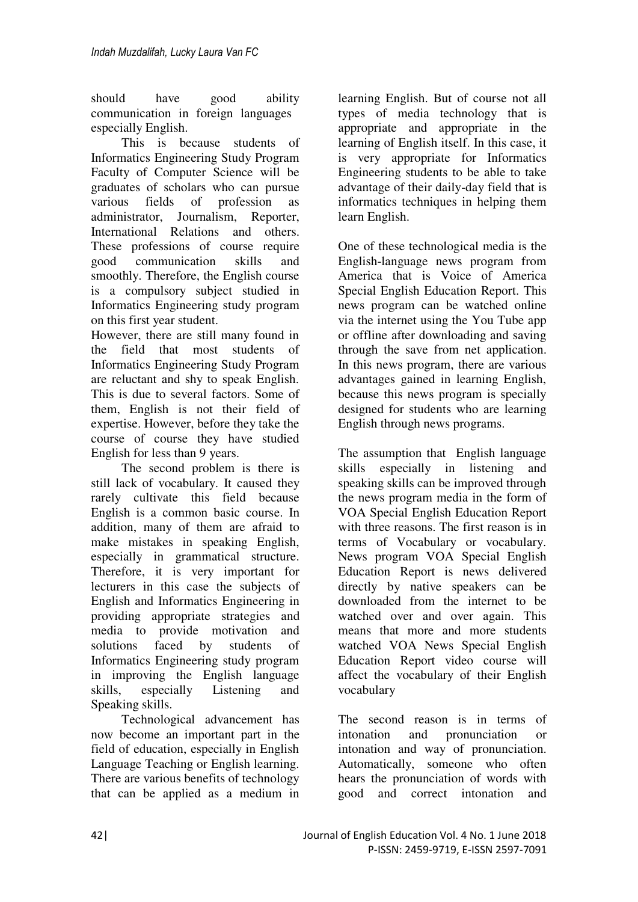should have good ability communication in foreign languages especially English.

This is because students of Informatics Engineering Study Program Faculty of Computer Science will be graduates of scholars who can pursue various fields of profession as administrator, Journalism, Reporter, International Relations and others. These professions of course require good communication skills and smoothly. Therefore, the English course is a compulsory subject studied in Informatics Engineering study program on this first year student.

However, there are still many found in the field that most students of Informatics Engineering Study Program are reluctant and shy to speak English. This is due to several factors. Some of them, English is not their field of expertise. However, before they take the course of course they have studied English for less than 9 years.

The second problem is there is still lack of vocabulary. It caused they rarely cultivate this field because English is a common basic course. In addition, many of them are afraid to make mistakes in speaking English, especially in grammatical structure. Therefore, it is very important for lecturers in this case the subjects of English and Informatics Engineering in providing appropriate strategies and media to provide motivation and solutions faced by students of Informatics Engineering study program in improving the English language skills, especially Listening and Speaking skills.

Technological advancement has now become an important part in the field of education, especially in English Language Teaching or English learning. There are various benefits of technology that can be applied as a medium in

learning English. But of course not all types of media technology that is appropriate and appropriate in the learning of English itself. In this case, it is very appropriate for Informatics Engineering students to be able to take advantage of their daily-day field that is informatics techniques in helping them learn English.

One of these technological media is the English-language news program from America that is Voice of America Special English Education Report. This news program can be watched online via the internet using the You Tube app or offline after downloading and saving through the save from net application. In this news program, there are various advantages gained in learning English, because this news program is specially designed for students who are learning English through news programs.

The assumption that English language skills especially in listening and speaking skills can be improved through the news program media in the form of VOA Special English Education Report with three reasons. The first reason is in terms of Vocabulary or vocabulary. News program VOA Special English Education Report is news delivered directly by native speakers can be downloaded from the internet to be watched over and over again. This means that more and more students watched VOA News Special English Education Report video course will affect the vocabulary of their English vocabulary

The second reason is in terms of intonation and pronunciation or intonation and way of pronunciation. Automatically, someone who often hears the pronunciation of words with good and correct intonation and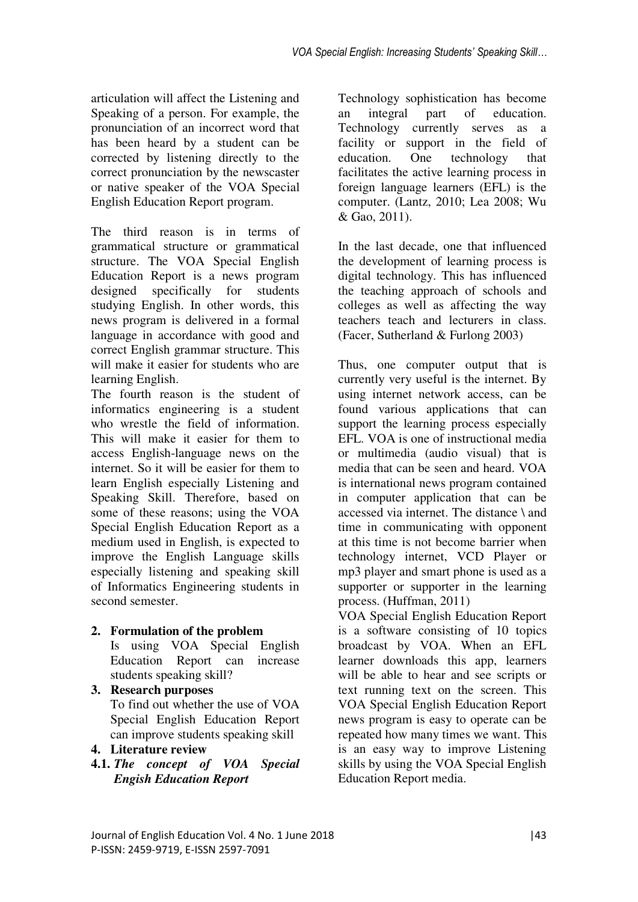articulation will affect the Listening and Speaking of a person. For example, the pronunciation of an incorrect word that has been heard by a student can be corrected by listening directly to the correct pronunciation by the newscaster or native speaker of the VOA Special English Education Report program.

The third reason is in terms of grammatical structure or grammatical structure. The VOA Special English Education Report is a news program designed specifically for students studying English. In other words, this news program is delivered in a formal language in accordance with good and correct English grammar structure. This will make it easier for students who are learning English.

The fourth reason is the student of informatics engineering is a student who wrestle the field of information. This will make it easier for them to access English-language news on the internet. So it will be easier for them to learn English especially Listening and Speaking Skill. Therefore, based on some of these reasons; using the VOA Special English Education Report as a medium used in English, is expected to improve the English Language skills especially listening and speaking skill of Informatics Engineering students in second semester.

## **2. Formulation of the problem**

Is using VOA Special English Education Report can increase students speaking skill?

- **3. Research purposes**  To find out whether the use of VOA Special English Education Report can improve students speaking skill
- **4. Literature review**
- **4.1.** *The concept of VOA Special Engish Education Report*

Technology sophistication has become an integral part of education. Technology currently serves as a facility or support in the field of education. One technology that facilitates the active learning process in foreign language learners (EFL) is the computer. (Lantz, 2010; Lea 2008; Wu & Gao, 2011).

In the last decade, one that influenced the development of learning process is digital technology. This has influenced the teaching approach of schools and colleges as well as affecting the way teachers teach and lecturers in class. (Facer, Sutherland & Furlong 2003)

Thus, one computer output that is currently very useful is the internet. By using internet network access, can be found various applications that can support the learning process especially EFL. VOA is one of instructional media or multimedia (audio visual) that is media that can be seen and heard. VOA is international news program contained in computer application that can be accessed via internet. The distance \ and time in communicating with opponent at this time is not become barrier when technology internet, VCD Player or mp3 player and smart phone is used as a supporter or supporter in the learning process. (Huffman, 2011)

VOA Special English Education Report is a software consisting of 10 topics broadcast by VOA. When an EFL learner downloads this app, learners will be able to hear and see scripts or text running text on the screen. This VOA Special English Education Report news program is easy to operate can be repeated how many times we want. This is an easy way to improve Listening skills by using the VOA Special English Education Report media.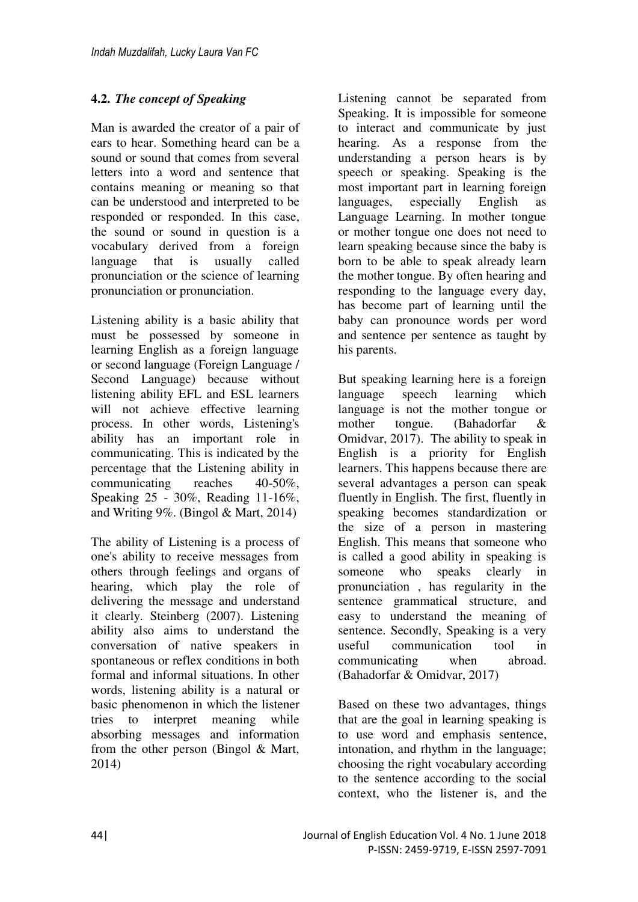# **4.2.** *The concept of Speaking*

Man is awarded the creator of a pair of ears to hear. Something heard can be a sound or sound that comes from several letters into a word and sentence that contains meaning or meaning so that can be understood and interpreted to be responded or responded. In this case, the sound or sound in question is a vocabulary derived from a foreign language that is usually called pronunciation or the science of learning pronunciation or pronunciation.

Listening ability is a basic ability that must be possessed by someone in learning English as a foreign language or second language (Foreign Language / Second Language) because without listening ability EFL and ESL learners will not achieve effective learning process. In other words, Listening's ability has an important role in communicating. This is indicated by the percentage that the Listening ability in communicating reaches 40-50%, Speaking 25 - 30%, Reading 11-16%, and Writing 9%. (Bingol & Mart, 2014)

The ability of Listening is a process of one's ability to receive messages from others through feelings and organs of hearing, which play the role of delivering the message and understand it clearly. Steinberg (2007). Listening ability also aims to understand the conversation of native speakers in spontaneous or reflex conditions in both formal and informal situations. In other words, listening ability is a natural or basic phenomenon in which the listener tries to interpret meaning while absorbing messages and information from the other person (Bingol & Mart, 2014)

Listening cannot be separated from Speaking. It is impossible for someone to interact and communicate by just hearing. As a response from the understanding a person hears is by speech or speaking. Speaking is the most important part in learning foreign languages, especially English as Language Learning. In mother tongue or mother tongue one does not need to learn speaking because since the baby is born to be able to speak already learn the mother tongue. By often hearing and responding to the language every day, has become part of learning until the baby can pronounce words per word and sentence per sentence as taught by his parents.

But speaking learning here is a foreign language speech learning which language is not the mother tongue or mother tongue. (Bahadorfar & Omidvar, 2017). The ability to speak in English is a priority for English learners. This happens because there are several advantages a person can speak fluently in English. The first, fluently in speaking becomes standardization or the size of a person in mastering English. This means that someone who is called a good ability in speaking is someone who speaks clearly in pronunciation , has regularity in the sentence grammatical structure, and easy to understand the meaning of sentence. Secondly, Speaking is a very useful communication tool in communicating when abroad. (Bahadorfar & Omidvar, 2017)

Based on these two advantages, things that are the goal in learning speaking is to use word and emphasis sentence, intonation, and rhythm in the language; choosing the right vocabulary according to the sentence according to the social context, who the listener is, and the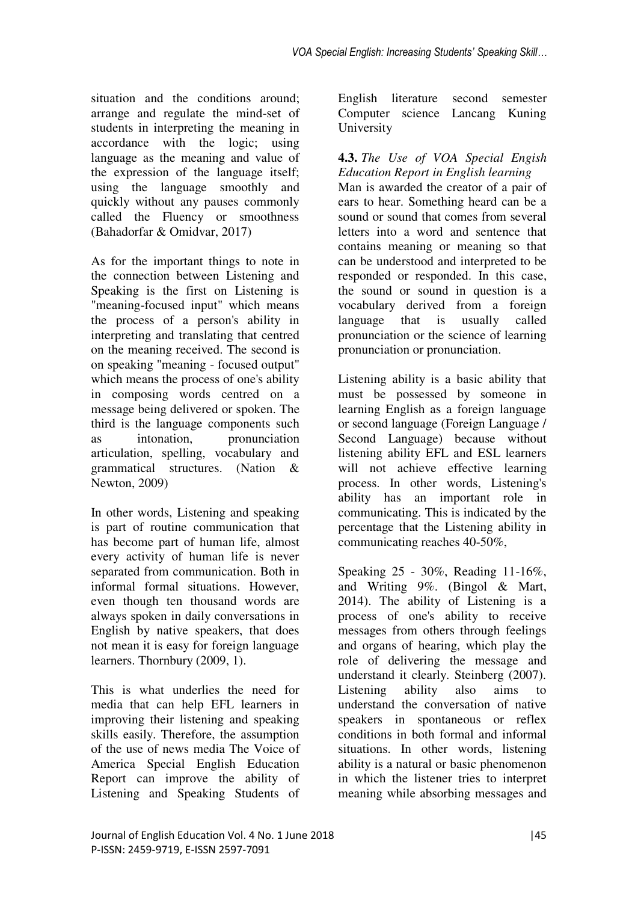situation and the conditions around; arrange and regulate the mind-set of students in interpreting the meaning in accordance with the logic; using language as the meaning and value of the expression of the language itself; using the language smoothly and quickly without any pauses commonly called the Fluency or smoothness (Bahadorfar & Omidvar, 2017)

As for the important things to note in the connection between Listening and Speaking is the first on Listening is "meaning-focused input" which means the process of a person's ability in interpreting and translating that centred on the meaning received. The second is on speaking "meaning - focused output" which means the process of one's ability in composing words centred on a message being delivered or spoken. The third is the language components such as intonation, pronunciation articulation, spelling, vocabulary and grammatical structures. (Nation & Newton, 2009)

In other words, Listening and speaking is part of routine communication that has become part of human life, almost every activity of human life is never separated from communication. Both in informal formal situations. However, even though ten thousand words are always spoken in daily conversations in English by native speakers, that does not mean it is easy for foreign language learners. Thornbury (2009, 1).

This is what underlies the need for media that can help EFL learners in improving their listening and speaking skills easily. Therefore, the assumption of the use of news media The Voice of America Special English Education Report can improve the ability of Listening and Speaking Students of

English literature second semester Computer science Lancang Kuning University

**4.3.** *The Use of VOA Special Engish Education Report in English learning* 

Man is awarded the creator of a pair of ears to hear. Something heard can be a sound or sound that comes from several letters into a word and sentence that contains meaning or meaning so that can be understood and interpreted to be responded or responded. In this case, the sound or sound in question is a vocabulary derived from a foreign language that is usually called pronunciation or the science of learning pronunciation or pronunciation.

Listening ability is a basic ability that must be possessed by someone in learning English as a foreign language or second language (Foreign Language / Second Language) because without listening ability EFL and ESL learners will not achieve effective learning process. In other words, Listening's ability has an important role in communicating. This is indicated by the percentage that the Listening ability in communicating reaches 40-50%,

Speaking 25 - 30%, Reading 11-16%, and Writing 9%. (Bingol & Mart, 2014). The ability of Listening is a process of one's ability to receive messages from others through feelings and organs of hearing, which play the role of delivering the message and understand it clearly. Steinberg (2007). Listening ability also aims to understand the conversation of native speakers in spontaneous or reflex conditions in both formal and informal situations. In other words, listening ability is a natural or basic phenomenon in which the listener tries to interpret meaning while absorbing messages and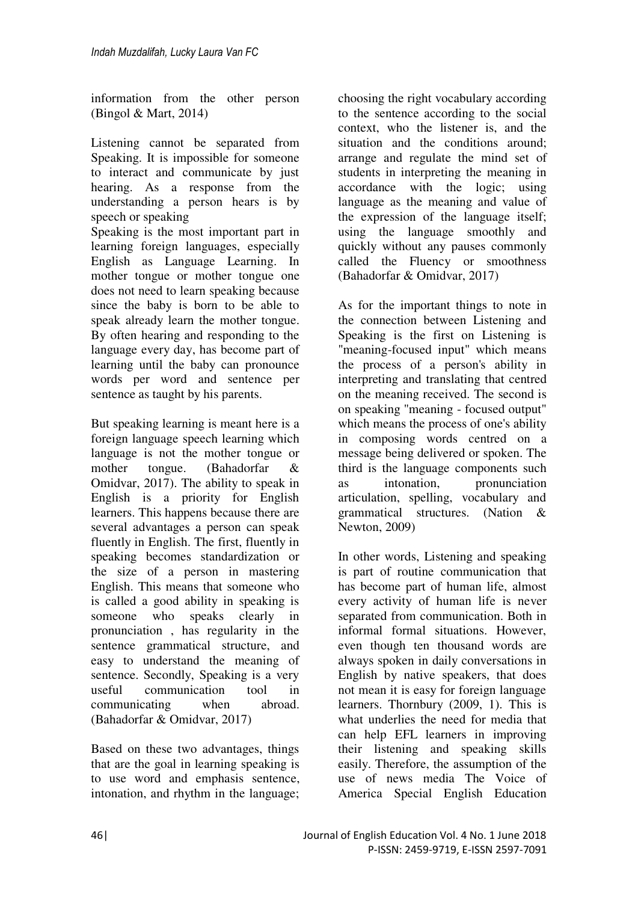information from the other person (Bingol & Mart, 2014)

Listening cannot be separated from Speaking. It is impossible for someone to interact and communicate by just hearing. As a response from the understanding a person hears is by speech or speaking

Speaking is the most important part in learning foreign languages, especially English as Language Learning. In mother tongue or mother tongue one does not need to learn speaking because since the baby is born to be able to speak already learn the mother tongue. By often hearing and responding to the language every day, has become part of learning until the baby can pronounce words per word and sentence per sentence as taught by his parents.

But speaking learning is meant here is a foreign language speech learning which language is not the mother tongue or mother tongue. (Bahadorfar & Omidvar, 2017). The ability to speak in English is a priority for English learners. This happens because there are several advantages a person can speak fluently in English. The first, fluently in speaking becomes standardization or the size of a person in mastering English. This means that someone who is called a good ability in speaking is someone who speaks clearly in pronunciation , has regularity in the sentence grammatical structure, and easy to understand the meaning of sentence. Secondly, Speaking is a very useful communication tool in communicating when abroad. (Bahadorfar & Omidvar, 2017)

Based on these two advantages, things that are the goal in learning speaking is to use word and emphasis sentence, intonation, and rhythm in the language;

choosing the right vocabulary according to the sentence according to the social context, who the listener is, and the situation and the conditions around; arrange and regulate the mind set of students in interpreting the meaning in accordance with the logic; using language as the meaning and value of the expression of the language itself; using the language smoothly and quickly without any pauses commonly called the Fluency or smoothness (Bahadorfar & Omidvar, 2017)

As for the important things to note in the connection between Listening and Speaking is the first on Listening is "meaning-focused input" which means the process of a person's ability in interpreting and translating that centred on the meaning received. The second is on speaking "meaning - focused output" which means the process of one's ability in composing words centred on a message being delivered or spoken. The third is the language components such as intonation, pronunciation articulation, spelling, vocabulary and grammatical structures. (Nation & Newton, 2009)

In other words, Listening and speaking is part of routine communication that has become part of human life, almost every activity of human life is never separated from communication. Both in informal formal situations. However, even though ten thousand words are always spoken in daily conversations in English by native speakers, that does not mean it is easy for foreign language learners. Thornbury (2009, 1). This is what underlies the need for media that can help EFL learners in improving their listening and speaking skills easily. Therefore, the assumption of the use of news media The Voice of America Special English Education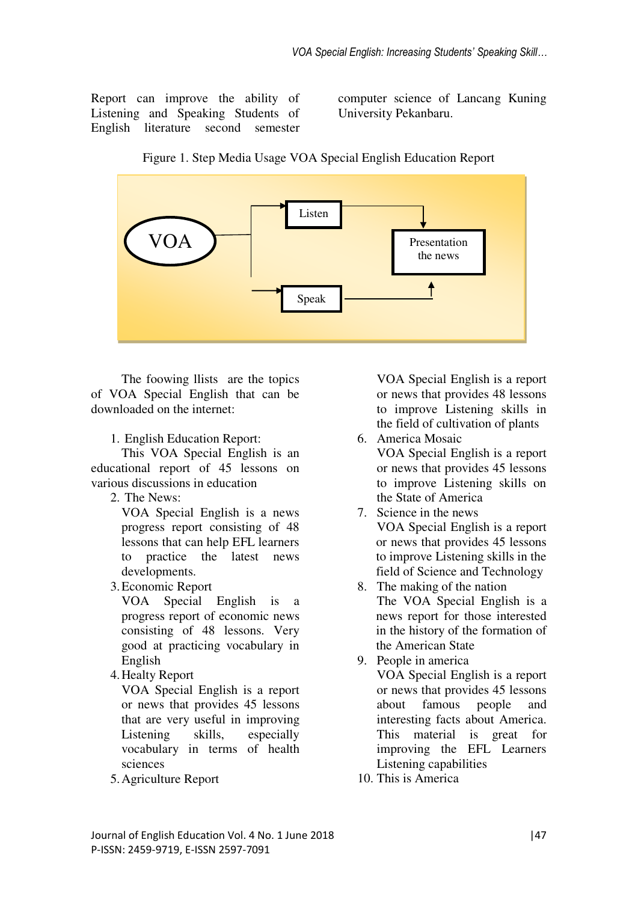Report can improve the ability of Listening and Speaking Students of English literature second semester computer science of Lancang Kuning University Pekanbaru.





The foowing llists are the topics of VOA Special English that can be downloaded on the internet:

1. English Education Report:

 This VOA Special English is an educational report of 45 lessons on various discussions in education

2. The News:

VOA Special English is a news progress report consisting of 48 lessons that can help EFL learners to practice the latest news developments.

3.Economic Report

VOA Special English is a progress report of economic news consisting of 48 lessons. Very good at practicing vocabulary in English

4.Healty Report

VOA Special English is a report or news that provides 45 lessons that are very useful in improving Listening skills, especially vocabulary in terms of health sciences

5.Agriculture Report

VOA Special English is a report or news that provides 48 lessons to improve Listening skills in the field of cultivation of plants

- 6. America Mosaic VOA Special English is a report or news that provides 45 lessons to improve Listening skills on the State of America
- 7. Science in the news VOA Special English is a report or news that provides 45 lessons to improve Listening skills in the field of Science and Technology
- 8. The making of the nation The VOA Special English is a news report for those interested in the history of the formation of the American State
- 9. People in america VOA Special English is a report or news that provides 45 lessons about famous people and interesting facts about America. This material is great for improving the EFL Learners Listening capabilities
- 10. This is America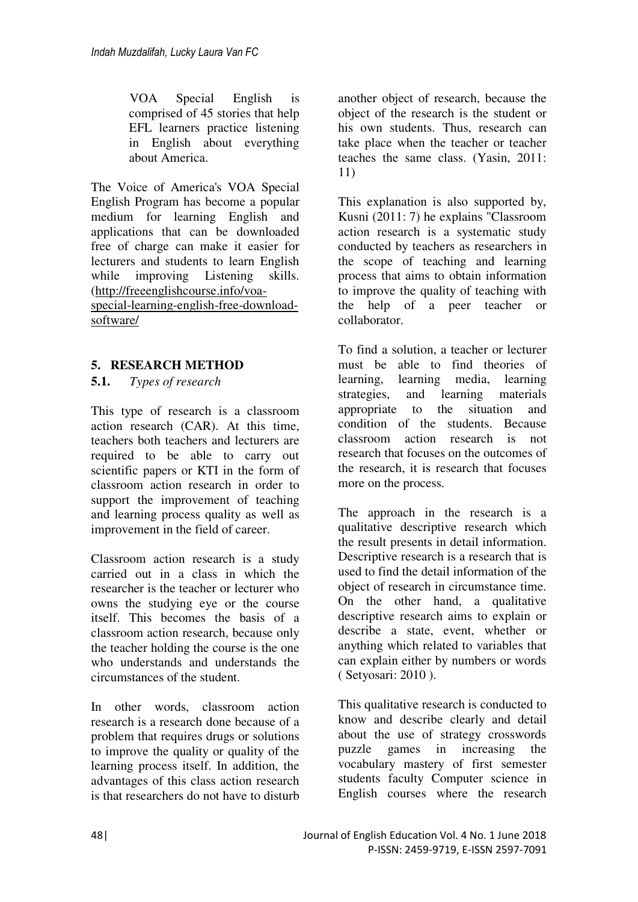VOA Special English is comprised of 45 stories that help EFL learners practice listening in English about everything about America.

The Voice of America's VOA Special English Program has become a popular medium for learning English and applications that can be downloaded free of charge can make it easier for lecturers and students to learn English while improving Listening skills. [\(http://freeenglishcourse.info/voa](http://freeenglishcourse.info/voa-special-learning-english-free-download-software/)[special-learning-english-free-download](http://freeenglishcourse.info/voa-special-learning-english-free-download-software/)[software/](http://freeenglishcourse.info/voa-special-learning-english-free-download-software/)

## **5. RESEARCH METHOD**

**5.1.** *Types of research*

This type of research is a classroom action research (CAR). At this time, teachers both teachers and lecturers are required to be able to carry out scientific papers or KTI in the form of classroom action research in order to support the improvement of teaching and learning process quality as well as improvement in the field of career.

Classroom action research is a study carried out in a class in which the researcher is the teacher or lecturer who owns the studying eye or the course itself. This becomes the basis of a classroom action research, because only the teacher holding the course is the one who understands and understands the circumstances of the student.

In other words, classroom action research is a research done because of a problem that requires drugs or solutions to improve the quality or quality of the learning process itself. In addition, the advantages of this class action research is that researchers do not have to disturb

another object of research, because the object of the research is the student or his own students. Thus, research can take place when the teacher or teacher teaches the same class. (Yasin, 2011: 11)

This explanation is also supported by, Kusni (2011: 7) he explains "Classroom action research is a systematic study conducted by teachers as researchers in the scope of teaching and learning process that aims to obtain information to improve the quality of teaching with the help of a peer teacher or collaborator.

To find a solution, a teacher or lecturer must be able to find theories of learning, learning media, learning strategies, and learning materials appropriate to the situation and condition of the students. Because classroom action research is not research that focuses on the outcomes of the research, it is research that focuses more on the process.

The approach in the research is a qualitative descriptive research which the result presents in detail information. Descriptive research is a research that is used to find the detail information of the object of research in circumstance time. On the other hand, a qualitative descriptive research aims to explain or describe a state, event, whether or anything which related to variables that can explain either by numbers or words ( Setyosari: 2010 ).

This qualitative research is conducted to know and describe clearly and detail about the use of strategy crosswords puzzle games in increasing the vocabulary mastery of first semester students faculty Computer science in English courses where the research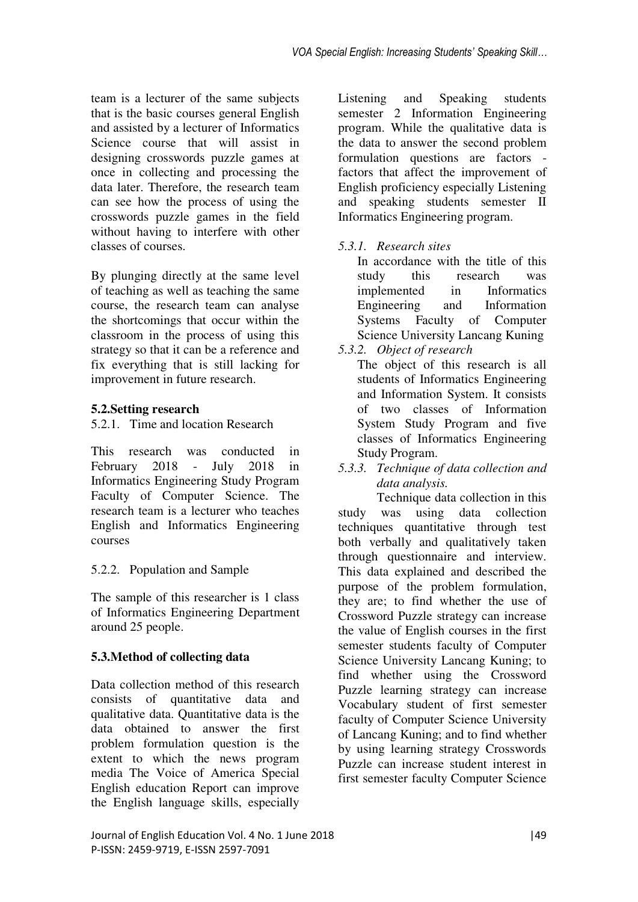team is a lecturer of the same subjects that is the basic courses general English and assisted by a lecturer of Informatics Science course that will assist in designing crosswords puzzle games at once in collecting and processing the data later. Therefore, the research team can see how the process of using the crosswords puzzle games in the field without having to interfere with other classes of courses.

By plunging directly at the same level of teaching as well as teaching the same course, the research team can analyse the shortcomings that occur within the classroom in the process of using this strategy so that it can be a reference and fix everything that is still lacking for improvement in future research.

## **5.2.Setting research**

5.2.1. Time and location Research

This research was conducted in February 2018 - July 2018 in Informatics Engineering Study Program Faculty of Computer Science. The research team is a lecturer who teaches English and Informatics Engineering courses

# 5.2.2. Population and Sample

The sample of this researcher is 1 class of Informatics Engineering Department around 25 people.

# **5.3.Method of collecting data**

Data collection method of this research consists of quantitative data and qualitative data. Quantitative data is the data obtained to answer the first problem formulation question is the extent to which the news program media The Voice of America Special English education Report can improve the English language skills, especially

Listening and Speaking students semester 2 Information Engineering program. While the qualitative data is the data to answer the second problem formulation questions are factors factors that affect the improvement of English proficiency especially Listening and speaking students semester II Informatics Engineering program.

# *5.3.1. Research sites*

In accordance with the title of this study this research was implemented in Informatics Engineering and Information Systems Faculty of Computer Science University Lancang Kuning

# *5.3.2. Object of research*

The object of this research is all students of Informatics Engineering and Information System. It consists of two classes of Information System Study Program and five classes of Informatics Engineering Study Program.

*5.3.3. Technique of data collection and data analysis.* 

Technique data collection in this study was using data collection techniques quantitative through test both verbally and qualitatively taken through questionnaire and interview. This data explained and described the purpose of the problem formulation, they are; to find whether the use of Crossword Puzzle strategy can increase the value of English courses in the first semester students faculty of Computer Science University Lancang Kuning; to find whether using the Crossword Puzzle learning strategy can increase Vocabulary student of first semester faculty of Computer Science University of Lancang Kuning; and to find whether by using learning strategy Crosswords Puzzle can increase student interest in first semester faculty Computer Science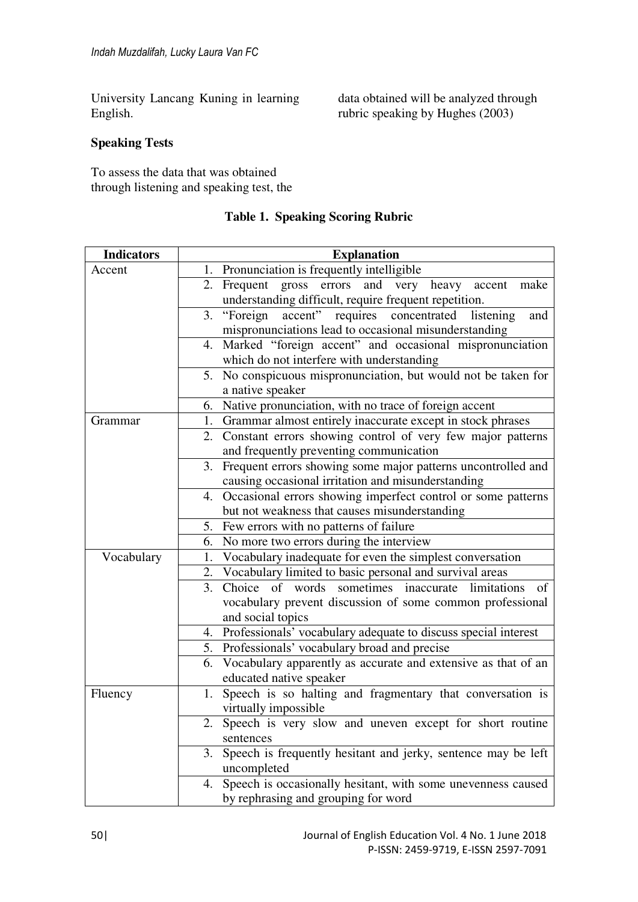University Lancang Kuning in learning English.

data obtained will be analyzed through rubric speaking by Hughes (2003)

### **Speaking Tests**

To assess the data that was obtained through listening and speaking test, the

| <b>Indicators</b> | <b>Explanation</b>                                                  |  |  |  |  |  |
|-------------------|---------------------------------------------------------------------|--|--|--|--|--|
| Accent            | 1. Pronunciation is frequently intelligible                         |  |  |  |  |  |
|                   | Frequent gross errors and very heavy<br>2.<br>accent<br>make        |  |  |  |  |  |
|                   | understanding difficult, require frequent repetition.               |  |  |  |  |  |
|                   | "Foreign accent" requires concentrated listening<br>3.<br>and       |  |  |  |  |  |
|                   | mispronunciations lead to occasional misunderstanding               |  |  |  |  |  |
|                   | Marked "foreign accent" and occasional mispronunciation<br>4.       |  |  |  |  |  |
|                   | which do not interfere with understanding                           |  |  |  |  |  |
|                   | No conspicuous mispronunciation, but would not be taken for<br>5.   |  |  |  |  |  |
|                   | a native speaker                                                    |  |  |  |  |  |
|                   | Native pronunciation, with no trace of foreign accent<br>6.         |  |  |  |  |  |
| Grammar           | Grammar almost entirely inaccurate except in stock phrases<br>1.    |  |  |  |  |  |
|                   | Constant errors showing control of very few major patterns<br>2.    |  |  |  |  |  |
|                   | and frequently preventing communication                             |  |  |  |  |  |
|                   | Frequent errors showing some major patterns uncontrolled and<br>3.  |  |  |  |  |  |
|                   | causing occasional irritation and misunderstanding                  |  |  |  |  |  |
|                   | Occasional errors showing imperfect control or some patterns<br>4.  |  |  |  |  |  |
|                   | but not weakness that causes misunderstanding                       |  |  |  |  |  |
|                   | Few errors with no patterns of failure<br>5.                        |  |  |  |  |  |
|                   | 6. No more two errors during the interview                          |  |  |  |  |  |
| Vocabulary        | Vocabulary inadequate for even the simplest conversation<br>1.      |  |  |  |  |  |
|                   | Vocabulary limited to basic personal and survival areas<br>2.       |  |  |  |  |  |
|                   | 3. Choice of words sometimes inaccurate limitations<br>of           |  |  |  |  |  |
|                   | vocabulary prevent discussion of some common professional           |  |  |  |  |  |
|                   | and social topics                                                   |  |  |  |  |  |
|                   | 4. Professionals' vocabulary adequate to discuss special interest   |  |  |  |  |  |
|                   | 5. Professionals' vocabulary broad and precise                      |  |  |  |  |  |
|                   | Vocabulary apparently as accurate and extensive as that of an<br>6. |  |  |  |  |  |
|                   | educated native speaker                                             |  |  |  |  |  |
| Fluency           | Speech is so halting and fragmentary that conversation is<br>1.     |  |  |  |  |  |
|                   | virtually impossible                                                |  |  |  |  |  |
|                   | Speech is very slow and uneven except for short routine<br>2.       |  |  |  |  |  |
|                   | sentences                                                           |  |  |  |  |  |
|                   | Speech is frequently hesitant and jerky, sentence may be left<br>3. |  |  |  |  |  |
|                   | uncompleted                                                         |  |  |  |  |  |
|                   | Speech is occasionally hesitant, with some unevenness caused<br>4.  |  |  |  |  |  |
|                   | by rephrasing and grouping for word                                 |  |  |  |  |  |

### **Table 1. Speaking Scoring Rubric**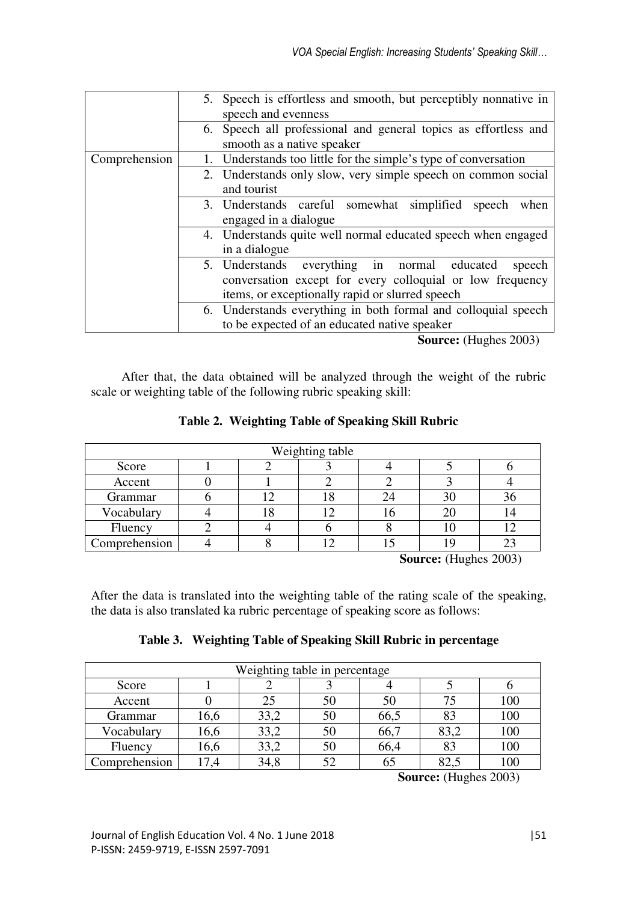|               | 5. Speech is effortless and smooth, but perceptibly nonnative in<br>speech and evenness                                                                                |
|---------------|------------------------------------------------------------------------------------------------------------------------------------------------------------------------|
|               | 6. Speech all professional and general topics as effortless and<br>smooth as a native speaker                                                                          |
| Comprehension | Understands too little for the simple's type of conversation                                                                                                           |
|               | 2. Understands only slow, very simple speech on common social<br>and tourist                                                                                           |
|               | 3. Understands careful somewhat simplified<br>speech<br>when<br>engaged in a dialogue                                                                                  |
|               | 4. Understands quite well normal educated speech when engaged<br>in a dialogue                                                                                         |
|               | 5. Understands everything in normal educated<br>speech<br>conversation except for every colloquial or low frequency<br>items, or exceptionally rapid or slurred speech |
|               | 6. Understands everything in both formal and colloquial speech<br>to be expected of an educated native speaker                                                         |

**Source:** (Hughes 2003)

After that, the data obtained will be analyzed through the weight of the rubric scale or weighting table of the following rubric speaking skill:

|  |  | Table 2. Weighting Table of Speaking Skill Rubric |  |
|--|--|---------------------------------------------------|--|
|--|--|---------------------------------------------------|--|

| Weighting table |  |  |  |  |    |    |
|-----------------|--|--|--|--|----|----|
| Score           |  |  |  |  |    |    |
| Accent          |  |  |  |  |    |    |
| Grammar         |  |  |  |  | 30 | 90 |
| Vocabulary      |  |  |  |  |    |    |
| Fluency         |  |  |  |  |    |    |
| Comprehension   |  |  |  |  |    |    |

**Source:** (Hughes 2003)

After the data is translated into the weighting table of the rating scale of the speaking, the data is also translated ka rubric percentage of speaking score as follows:

|  | Table 3. Weighting Table of Speaking Skill Rubric in percentage |  |
|--|-----------------------------------------------------------------|--|
|  |                                                                 |  |

| Weighting table in percentage |      |      |    |      |      |     |
|-------------------------------|------|------|----|------|------|-----|
| Score                         |      |      |    |      |      |     |
| Accent                        |      | 25   | 50 | 50   | 75   | 100 |
| Grammar                       | 16,6 | 33,2 | 50 | 66,5 | 83   | 100 |
| Vocabulary                    | 16,6 | 33,2 | 50 | 66,7 | 83,2 | 100 |
| Fluency                       | 16,6 | 33,2 | 50 | 66,4 | 83   | 100 |
| Comprehension                 | 17,4 | 34,8 | 52 | 65   | 82.: | 100 |

 **Source:** (Hughes 2003)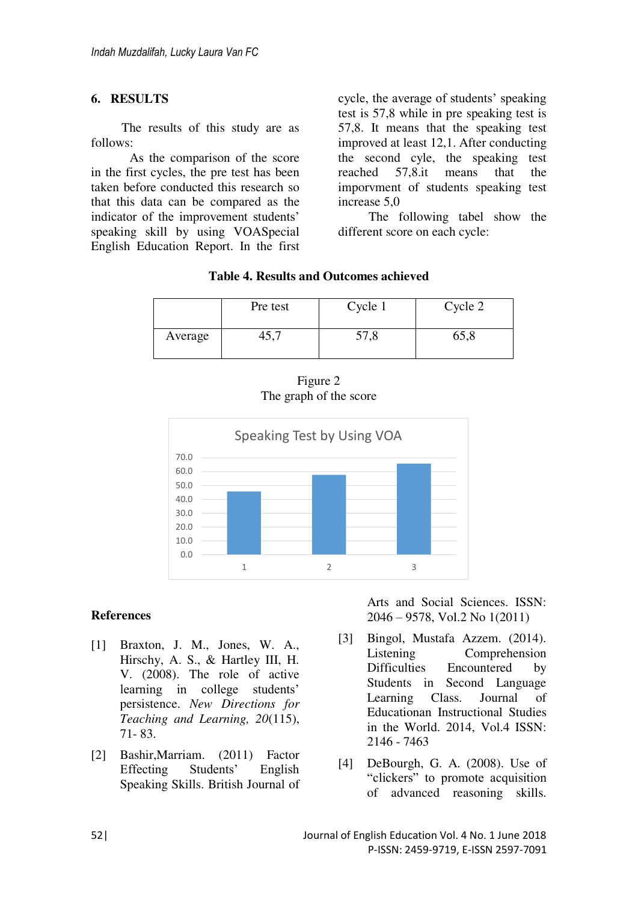#### **6. RESULTS**

The results of this study are as follows:

 As the comparison of the score in the first cycles, the pre test has been taken before conducted this research so that this data can be compared as the indicator of the improvement students' speaking skill by using VOASpecial English Education Report. In the first cycle, the average of students' speaking test is 57,8 while in pre speaking test is 57,8. It means that the speaking test improved at least 12,1. After conducting the second cyle, the speaking test reached 57,8.it means that the imporvment of students speaking test increase 5,0

The following tabel show the different score on each cycle:

### **Table 4. Results and Outcomes achieved**

|         | Pre test | Cycle 1 | Cycle 2 |  |
|---------|----------|---------|---------|--|
| Average | +J.,     | 57,8    | 65,8    |  |

Figure 2 The graph of the score



#### **References**

- [1] Braxton, J. M., Jones, W. A., Hirschy, A. S., & Hartley III, H. V. (2008). The role of active learning in college students' persistence. *New Directions for Teaching and Learning, 20*(115), 71- 83.
- [2] Bashir,Marriam. (2011) Factor Effecting Students' English Speaking Skills. British Journal of

Arts and Social Sciences. ISSN: 2046 – 9578, Vol.2 No 1(2011)

- [3] Bingol, Mustafa Azzem. (2014). Listening Comprehension Difficulties Encountered by Students in Second Language Learning Class. Journal of Educationan Instructional Studies in the World. 2014, Vol.4 ISSN: 2146 - 7463
- [4] DeBourgh, G. A. (2008). Use of "clickers" to promote acquisition of advanced reasoning skills.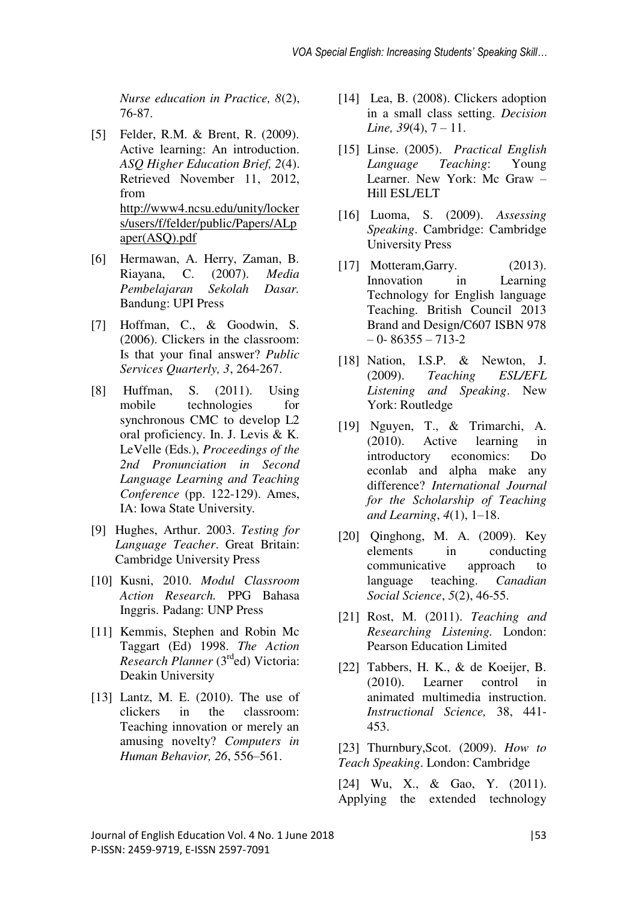*Nurse education in Practice, 8*(2), 76-87.

- [5] Felder, R.M. & Brent, R. (2009). Active learning: An introduction. *ASQ Higher Education Brief, 2*(4). Retrieved November 11, 2012, from [http://www4.ncsu.edu/unity/locker](http://www4.ncsu.edu/unity/lockers/users/f/felder/public/Papers/ALpaper(ASQ).pdf) [s/users/f/felder/public/Papers/ALp](http://www4.ncsu.edu/unity/lockers/users/f/felder/public/Papers/ALpaper(ASQ).pdf) [aper\(ASQ\).pdf](http://www4.ncsu.edu/unity/lockers/users/f/felder/public/Papers/ALpaper(ASQ).pdf)
- [6] Hermawan, A. Herry, Zaman, B. Riayana, C. (2007). *Media Pembelajaran Sekolah Dasar.* Bandung: UPI Press
- [7] Hoffman, C., & Goodwin, S. (2006). Clickers in the classroom: Is that your final answer? *Public Services Quarterly, 3*, 264-267.
- [8] Huffman, S. (2011). Using mobile technologies for synchronous CMC to develop L2 oral proficiency. In. J. Levis & K. LeVelle (Eds.), *Proceedings of the 2nd Pronunciation in Second Language Learning and Teaching Conference* (pp. 122-129). Ames, IA: Iowa State University*.*
- [9] Hughes, Arthur. 2003. *Testing for Language Teacher*. Great Britain: Cambridge University Press
- [10] Kusni, 2010. *Modul Classroom Action Research.* PPG Bahasa Inggris. Padang: UNP Press
- [11] Kemmis, Stephen and Robin Mc Taggart (Ed) 1998. *The Action Research Planner* (3rded) Victoria: Deakin University
- [13] Lantz, M. E. (2010). The use of clickers in the classroom: Teaching innovation or merely an amusing novelty? *Computers in Human Behavior, 26*, 556–561.
- [14] Lea, B. (2008). Clickers adoption in a small class setting. *Decision Line, 39*(4), 7 – 11.
- [15] Linse. (2005). *Practical English Language Teaching*: Young Learner. New York: Mc Graw – Hill ESL/ELT
- [16] Luoma, S. (2009). *Assessing Speaking*. Cambridge: Cambridge University Press
- [17] Motteram, Garry. (2013). Innovation in Learning Technology for English language Teaching. British Council 2013 Brand and Design/C607 ISBN 978 – 0- 86355 – 713-2
- [18] Nation, I.S.P. & Newton, J. (2009). *Teaching ESL/EFL Listening and Speaking*. New York: Routledge
- [19] Nguyen, T., & Trimarchi, A. (2010). Active learning in introductory economics: Do econlab and alpha make any difference? *International Journal for the Scholarship of Teaching and Learning*, *4*(1), 1–18.
- [20] Qinghong, M. A. (2009). Key elements in conducting communicative approach to language teaching. *Canadian Social Science*, *5*(2), 46-55.
- [21] Rost, M. (2011). *Teaching and Researching Listening.* London: Pearson Education Limited
- [22] Tabbers, H. K., & de Koeijer, B. (2010). Learner control in animated multimedia instruction. *Instructional Science,* 38, 441- 453.

[23] Thurnbury,Scot. (2009). *How to Teach Speaking*. London: Cambridge

[24] Wu, X., & Gao, Y. (2011). Applying the extended technology